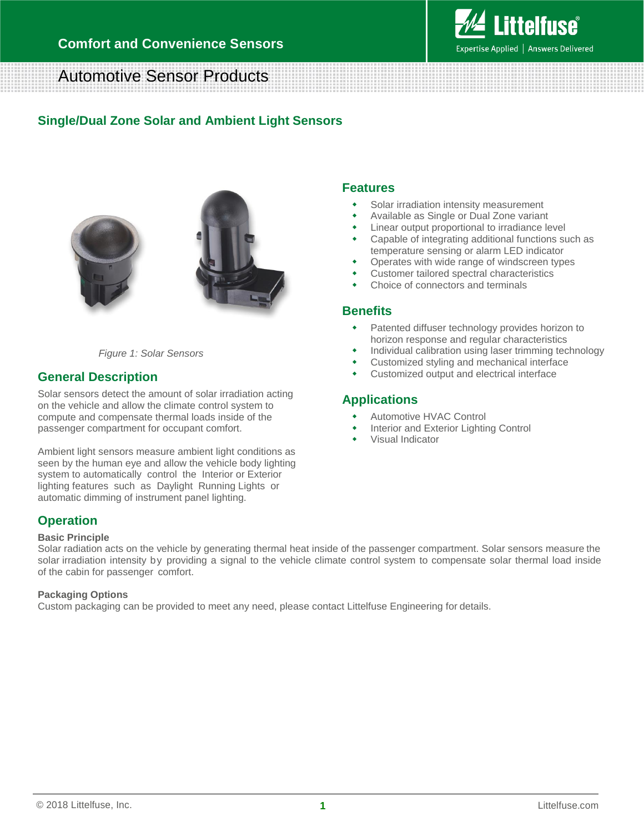

# Automotive Sensor Products

## **Single/Dual Zone Solar and Ambient Light Sensors**



*Figure 1: Solar Sensors*

## **General Description**

Solar sensors detect the amount of solar irradiation acting on the vehicle and allow the climate control system to compute and compensate thermal loads inside of the passenger compartment for occupant comfort.

Ambient light sensors measure ambient light conditions as seen by the human eye and allow the vehicle body lighting system to automatically control the Interior or Exterior lighting features such as Daylight Running Lights or automatic dimming of instrument panel lighting.

## **Features**

- Solar irradiation intensity measurement
- Available as Single or Dual Zone variant
- Linear output proportional to irradiance level
- Capable of integrating additional functions such as temperature sensing or alarm LED indicator
- Operates with wide range of windscreen types
- Customer tailored spectral characteristics
- Choice of connectors and terminals

#### **Benefits**

- Patented diffuser technology provides horizon to horizon response and regular characteristics
- Individual calibration using laser trimming technology
- Customized styling and mechanical interface
- Customized output and electrical interface

### **Applications**

- Automotive HVAC Control
- Interior and Exterior Lighting Control
- Visual Indicator

## **Operation**

#### **Basic Principle**

Solar radiation acts on the vehicle by generating thermal heat inside of the passenger compartment. Solar sensors measure the solar irradiation intensity by providing a signal to the vehicle climate control system to compensate solar thermal load inside of the cabin for passenger comfort.

#### **Packaging Options**

Custom packaging can be provided to meet any need, please contact Littelfuse Engineering for details.